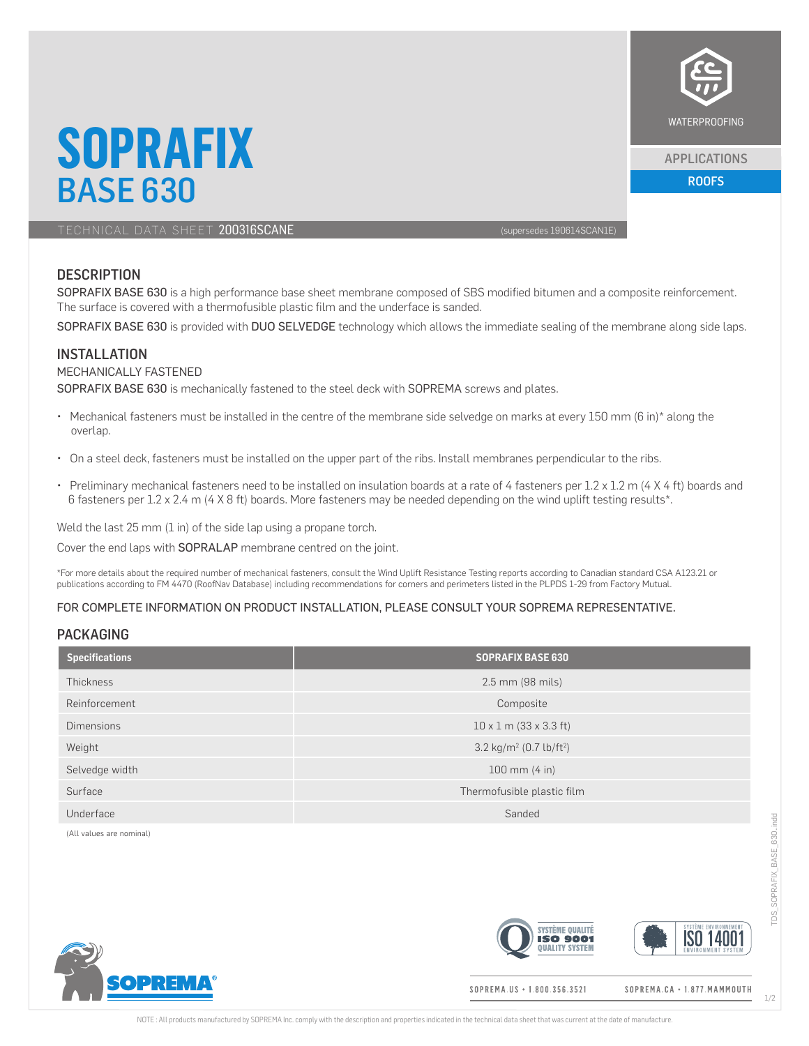

#### APPLICATIONS

BASE 630 ROOFS AND RESIDENCE AND RESIDENCE AND RESIDENCE AND RESIDENCE AND RESIDENCE AND RESIDENCE AND RESIDENTS

TECHNICAL DATA SHEET 200316SCANE (supersedes 190614SCAN1E)

**SOPRAFIX**

# **DESCRIPTION**

SOPRAFIX BASE 630 is a high performance base sheet membrane composed of SBS modified bitumen and a composite reinforcement. The surface is covered with a thermofusible plastic film and the underface is sanded.

SOPRAFIX BASE 630 is provided with DUO SELVEDGE technology which allows the immediate sealing of the membrane along side laps.

### INSTALLATION

#### MECHANICALLY FASTENED

SOPRAFIX BASE 630 is mechanically fastened to the steel deck with SOPREMA screws and plates.

- Mechanical fasteners must be installed in the centre of the membrane side selvedge on marks at every 150 mm (6 in)\* along the overlap.
- On a steel deck, fasteners must be installed on the upper part of the ribs. Install membranes perpendicular to the ribs.
- Preliminary mechanical fasteners need to be installed on insulation boards at a rate of 4 fasteners per 1.2 x 1.2 m (4 X 4 ft) boards and 6 fasteners per 1.2 x 2.4 m (4 X 8 ft) boards. More fasteners may be needed depending on the wind uplift testing results\*.

Weld the last  $25$  mm  $(1 \text{ in})$  of the side lap using a propane torch.

Cover the end laps with SOPRALAP membrane centred on the joint.

\*For more details about the required number of mechanical fasteners, consult the Wind Uplift Resistance Testing reports according to Canadian standard CSA A123.21 or publications according to FM 4470 (RoofNav Database) including recommendations for corners and perimeters listed in the PLPDS 1-29 from Factory Mutual.

### FOR COMPLETE INFORMATION ON PRODUCT INSTALLATION, PLEASE CONSULT YOUR SOPREMA REPRESENTATIVE.

### PACKAGING

| <b>Specifications</b> | <b>SOPRAFIX BASE 630</b>                        |  |
|-----------------------|-------------------------------------------------|--|
| <b>Thickness</b>      | 2.5 mm (98 mils)                                |  |
| Reinforcement         | Composite                                       |  |
| <b>Dimensions</b>     | $10 \times 1$ m (33 x 3.3 ft)                   |  |
| Weight                | 3.2 kg/m <sup>2</sup> (0.7 lb/ft <sup>2</sup> ) |  |
| Selvedge width        | $100 \, \text{mm}$ (4 in)                       |  |
| Surface               | Thermofusible plastic film                      |  |
| Underface             | Sanded                                          |  |

(All values are nominal)



SOPREMA.US · 1.800.356.3521

**SVSTÈME QUALITÉ** 

**ISO 9001 DUALITY SYSTEM** 

SOPREMA.CA · 1.877. MAMMOUTH

**ISO 1400** 

1/2